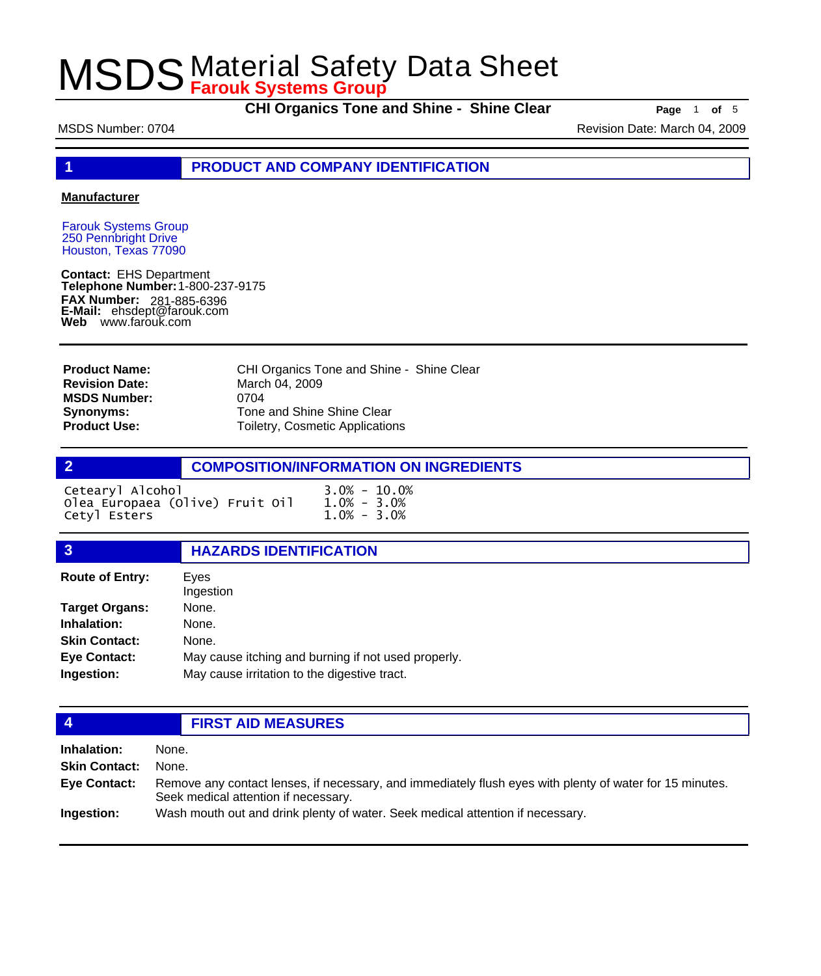**CHI Organics Tone and Shine - Shine Clear Page** 1 of 5

MSDS Number: 0704 **Revision Date: March 04, 2009** Revision Date: March 04, 2009

**1 PRODUCT AND COMPANY IDENTIFICATION**

#### **Manufacturer**

Farouk Systems Group 250 Pennbright Drive Houston, Texas 77090

**Contact:** EHS Department **Telephone Number:** 1-800-237-9175 **FAX Number: FAX Number:** 281-885-6396<br>**E-Mail:** ehsdept@farouk.com **Web** www.farouk.com

CHI Organics Tone and Shine - Shine Clear March 04, 2009 0704 Tone and Shine Shine Clear Toiletry, Cosmetic Applications **Product Name: Revision Date: MSDS Number: Synonyms: Product Use:**

### **2 COMPOSITION/INFORMATION ON INGREDIENTS**

| Cetearyl Alcohol                | $3.0\% - 10.0\%$ |
|---------------------------------|------------------|
| Olea Europaea (Olive) Fruit Oil | $1.0\% - 3.0\%$  |
| Cetyl Esters                    | $1.0\% - 3.0\%$  |

#### **3 HAZARDS IDENTIFICATION**

| <b>Route of Entry:</b> | Eyes<br>Ingestion                                   |
|------------------------|-----------------------------------------------------|
| <b>Target Organs:</b>  | None.                                               |
| Inhalation:            | None.                                               |
| <b>Skin Contact:</b>   | None.                                               |
| <b>Eye Contact:</b>    | May cause itching and burning if not used properly. |
| Ingestion:             | May cause irritation to the digestive tract.        |

#### **4 FIRST AID MEASURES**

**Inhalation:** None. **Skin Contact:** None. Remove any contact lenses, if necessary, and immediately flush eyes with plenty of water for 15 minutes. Seek medical attention if necessary. **Eye Contact: Ingestion:** Wash mouth out and drink plenty of water. Seek medical attention if necessary.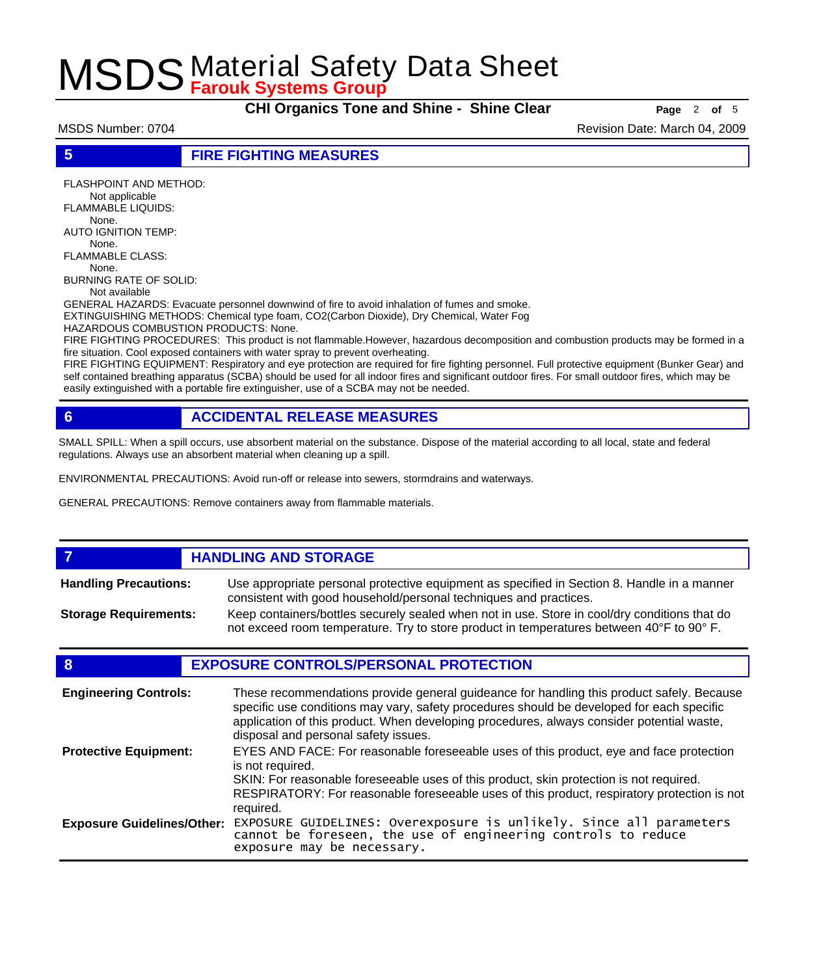**CHI Organics Tone and Shine - Shine Clear Page** 2 of 5

MSDS Number: 0704 **Revision Date: March 04, 2009** Revision Date: March 04, 2009

**5 FIRE FIGHTING MEASURES**

FLASHPOINT AND METHOD: Not applicable FLAMMABLE LIQUIDS: None. AUTO IGNITION TEMP: None. FLAMMABLE CLASS: None. BURNING RATE OF SOLID:

Not available

GENERAL HAZARDS: Evacuate personnel downwind of fire to avoid inhalation of fumes and smoke. EXTINGUISHING METHODS: Chemical type foam, CO2(Carbon Dioxide), Dry Chemical, Water Fog

HAZARDOUS COMBUSTION PRODUCTS: None.

FIRE FIGHTING PROCEDURES: This product is not flammable.However, hazardous decomposition and combustion products may be formed in a fire situation. Cool exposed containers with water spray to prevent overheating.

FIRE FIGHTING EQUIPMENT: Respiratory and eye protection are required for fire fighting personnel. Full protective equipment (Bunker Gear) and self contained breathing apparatus (SCBA) should be used for all indoor fires and significant outdoor fires. For small outdoor fires, which may be easily extinguished with a portable fire extinguisher, use of a SCBA may not be needed.

### **6 ACCIDENTAL RELEASE MEASURES**

SMALL SPILL: When a spill occurs, use absorbent material on the substance. Dispose of the material according to all local, state and federal regulations. Always use an absorbent material when cleaning up a spill.

ENVIRONMENTAL PRECAUTIONS: Avoid run-off or release into sewers, stormdrains and waterways.

GENERAL PRECAUTIONS: Remove containers away from flammable materials.

#### *HANDLING AND STORAGE* Use appropriate personal protective equipment as specified in Section 8. Handle in a manner consistent with good household/personal techniques and practices. **Handling Precautions:** Keep containers/bottles securely sealed when not in use. Store in cool/dry conditions that do not exceed room temperature. Try to store product in temperatures between 40°F to 90° F. **Storage Requirements:**

#### **8 EXPOSURE CONTROLS/PERSONAL PROTECTION**

| <b>Engineering Controls:</b>      | These recommendations provide general guideance for handling this product safely. Because<br>specific use conditions may vary, safety procedures should be developed for each specific<br>application of this product. When developing procedures, always consider potential waste,<br>disposal and personal safety issues. |
|-----------------------------------|-----------------------------------------------------------------------------------------------------------------------------------------------------------------------------------------------------------------------------------------------------------------------------------------------------------------------------|
| <b>Protective Equipment:</b>      | EYES AND FACE: For reasonable foreseeable uses of this product, eye and face protection<br>is not required.<br>SKIN: For reasonable foreseeable uses of this product, skin protection is not required.<br>RESPIRATORY: For reasonable foreseeable uses of this product, respiratory protection is not<br>required.          |
| <b>Exposure Guidelines/Other:</b> | EXPOSURE GUIDELINES: Overexposure is unlikely. Since all parameters cannot be foreseen, the use of engineering controls to reduce<br>exposure may be necessary.                                                                                                                                                             |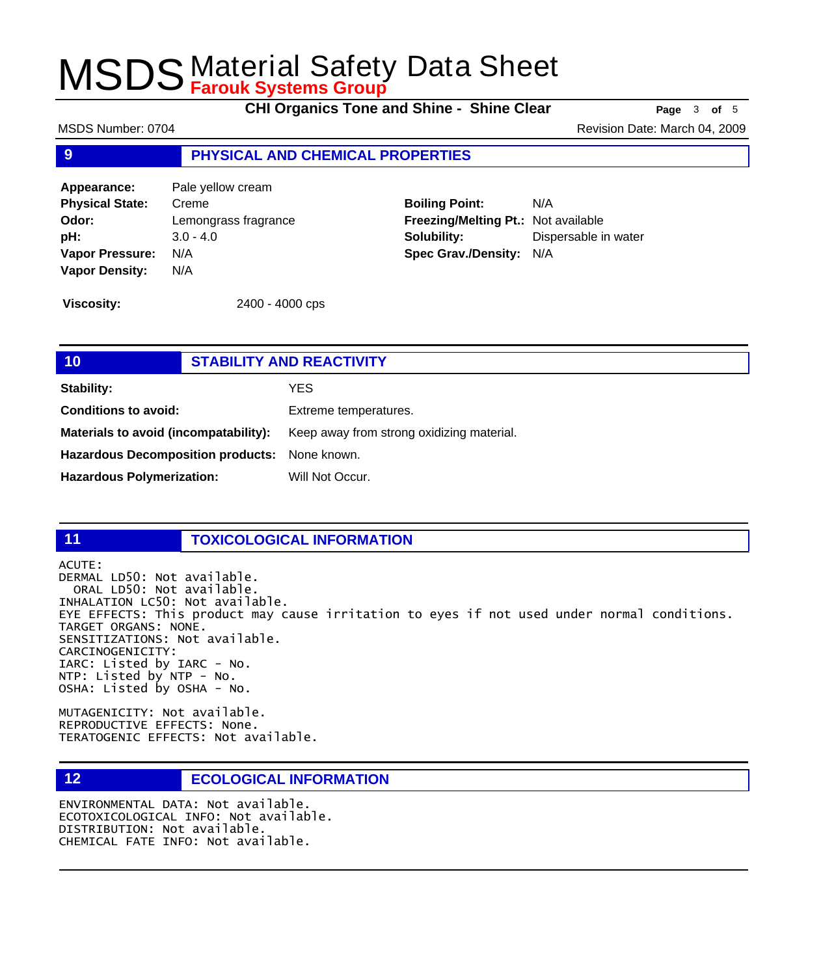**CHI Organics Tone and Shine - Shine Clear Page** 3 of 5

MSDS Number: 0704 **Revision Date: March 04, 2009** Revision Date: March 04, 2009

#### **9 PHYSICAL AND CHEMICAL PROPERTIES**

**Appearance:** Pale yellow cream **Physical State:** Creme **Odor:** Lemongrass fragrance **pH:** 3.0 - 4.0 **Vapor Pressure:** N/A **Vapor Density:** N/A

**Boiling Point:** N/A **Freezing/Melting Pt.:** Not available **Solubility:** Dispersable in water **Spec Grav./Density:** N/A

**Viscosity:** 2400 - 4000 cps

### **10 STABILITY AND REACTIVITY Stability:** YES **Conditions to avoid:** Extreme temperatures. Materials to avoid (incompatability): Keep away from strong oxidizing material. **Hazardous Decomposition products:** None known. Hazardous Polymerization: Will Not Occur.

#### **11 TOXICOLOGICAL INFORMATION**

ACUTE:

DERMAL LD50: Not available. ORAL LD50: Not available. INHALATION LC50: Not available. EYE EFFECTS: This product may cause irritation to eyes if not used under normal conditions. TARGET ORGANS: NONE. SENSITIZATIONS: Not available. CARCINOGENICITY: IARC: Listed by IARC - No. NTP: Listed by NTP - No. OSHA: Listed by OSHA - No.

MUTAGENICITY: Not available. REPRODUCTIVE EFFECTS: None. TERATOGENIC EFFECTS: Not available.

#### **12 ECOLOGICAL INFORMATION**

ENVIRONMENTAL DATA: Not available. ECOTOXICOLOGICAL INFO: Not available. DISTRIBUTION: Not available. CHEMICAL FATE INFO: Not available.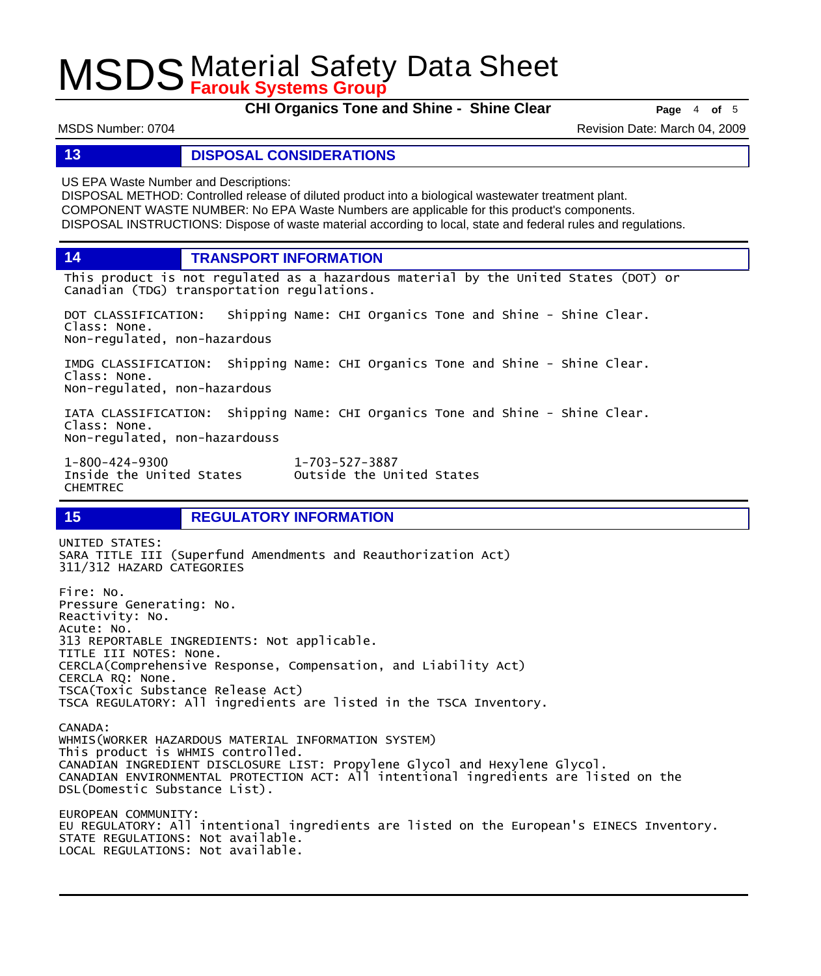**CHI Organics Tone and Shine - Shine Clear Page** 4 of 5

MSDS Number: 0704 **Revision Date: March 04, 2009** Revision Date: March 04, 2009

#### **13 DISPOSAL CONSIDERATIONS**

US EPA Waste Number and Descriptions:

DISPOSAL METHOD: Controlled release of diluted product into a biological wastewater treatment plant. COMPONENT WASTE NUMBER: No EPA Waste Numbers are applicable for this product's components. DISPOSAL INSTRUCTIONS: Dispose of waste material according to local, state and federal rules and regulations.

**14 TRANSPORT INFORMATION**

This product is not regulated as a hazardous material by the United States (DOT) or Canadian (TDG) transportation regulations.

DOT CLASSIFICATION: Shipping Name: CHI Organics Tone and Shine - Shine Clear. Class: None. Non-regulated, non-hazardous

IMDG CLASSIFICATION: Shipping Name: CHI Organics Tone and Shine - Shine Clear. Class: None. Non-regulated, non-hazardous

IATA CLASSIFICATION: Shipping Name: CHI Organics Tone and Shine - Shine Clear. Class: None. Non-regulated, non-hazardouss

1-800-424-9300 1-703-527-3887 CHEMTREC

Outside the United States

### **15 REGULATORY INFORMATION**

UNITED STATES: SARA TITLE III (Superfund Amendments and Reauthorization Act) 311/312 HAZARD CATEGORIES Fire: No. Pressure Generating: No. Reactivity: No. Acute: No. 313 REPORTABLE INGREDIENTS: Not applicable. TITLE III NOTES: None. CERCLA(Comprehensive Response, Compensation, and Liability Act) CERCLA RQ: None. TSCA(Toxic Substance Release Act) TSCA REGULATORY: All ingredients are listed in the TSCA Inventory. CANADA: WHMIS(WORKER HAZARDOUS MATERIAL INFORMATION SYSTEM) This product is WHMIS controlled. CANADIAN INGREDIENT DISCLOSURE LIST: Propylene Glycol and Hexylene Glycol. CANADIAN ENVIRONMENTAL PROTECTION ACT: All intentional ingredients are listed on the DSL(Domestic Substance List). EUROPEAN COMMUNITY: EU REGULATORY: All intentional ingredients are listed on the European's EINECS Inventory. STATE REGULATIONS: Not available. LOCAL REGULATIONS: Not available.